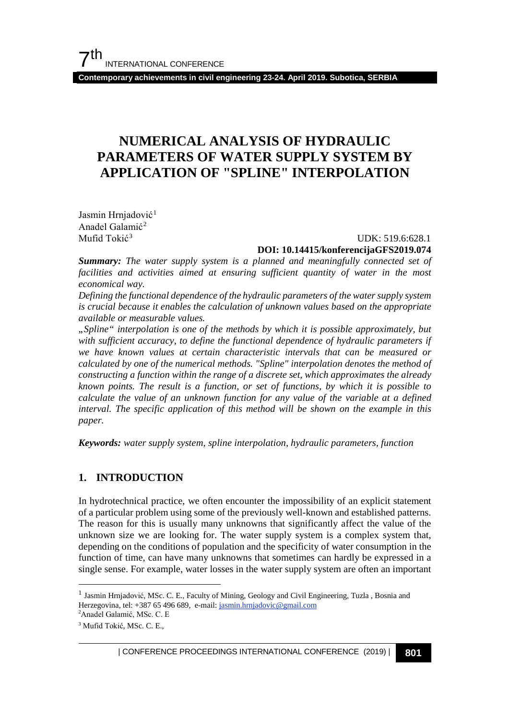**Contemporary achievements in civil engineering 23-24. April 2019. Subotica, SERBIA**

### **NUMERICAL ANALYSIS OF HYDRAULIC PARAMETERS OF WATER SUPPLY SYSTEM BY APPLICATION OF "SPLINE" INTERPOLATION**

Jasmin Hrnjadović<sup>[1](#page-0-0)</sup> Anadel Galamić[2](#page-0-1) Mufid Tokić<sup>[3](#page-0-2)</sup>

#### $UDK: 519.6:628.1$ **DOI: 10.14415/konferencijaGFS2019.074**

*Summary: The water supply system is a planned and meaningfully connected set of*  facilities and activities aimed at ensuring sufficient quantity of water in the most *economical way.*

*Defining the functional dependence of the hydraulic parameters of the water supply system is crucial because it enables the calculation of unknown values based on the appropriate available or measurable values.*

*"Spline" interpolation is one of the methods by which it is possible approximately, but with sufficient accuracy, to define the functional dependence of hydraulic parameters if we have known values at certain characteristic intervals that can be measured or calculated by one of the numerical methods. "Spline" interpolation denotes the method of constructing a function within the range of a discrete set, which approximates the already known points. The result is a function, or set of functions, by which it is possible to calculate the value of an unknown function for any value of the variable at a defined interval. The specific application of this method will be shown on the example in this paper.*

*Keywords: water supply system, spline interpolation, hydraulic parameters, function*

#### **1. INTRODUCTION**

In hydrotechnical practice, we often encounter the impossibility of an explicit statement of a particular problem using some of the previously well-known and established patterns. The reason for this is usually many unknowns that significantly affect the value of the unknown size we are looking for. The water supply system is a complex system that, depending on the conditions of population and the specificity of water consumption in the function of time, can have many unknowns that sometimes can hardly be expressed in a single sense. For example, water losses in the water supply system are often an important

<span id="page-0-0"></span> $^{\rm 1}$  Jasmin Hrnjadović, MSc. C. E., Faculty of Mining, Geology and Civil Engineering, Tuzla , Bosnia and Herzegovina, tel: +387 65 496 689, e-mail: jasmin.hrnjadovic@gmail.com

<span id="page-0-2"></span><span id="page-0-1"></span><sup>2</sup> Anadel Galamić, MSc. C. E <sup>3</sup> Mufid Tokić, MSc. C. E.,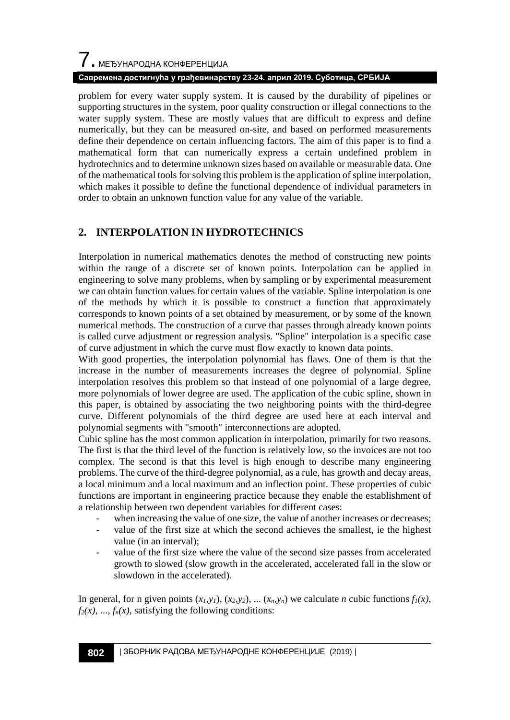# $\overline{\phantom{a}}$ . МЕЂУНАРОДНА КОНФЕРЕНЦИЈА

#### **Савремена достигнућа у грађевинарству 23-24. април 2019. Суботица, СРБИЈА**

problem for every water supply system. It is caused by the durability of pipelines or supporting structures in the system, poor quality construction or illegal connections to the water supply system. These are mostly values that are difficult to express and define numerically, but they can be measured on-site, and based on performed measurements define their dependence on certain influencing factors. The aim of this paper is to find a mathematical form that can numerically express a certain undefined problem in hydrotechnics and to determine unknown sizes based on available or measurable data. One of the mathematical tools for solving this problem is the application of spline interpolation, which makes it possible to define the functional dependence of individual parameters in order to obtain an unknown function value for any value of the variable.

#### **2. INTERPOLATION IN HYDROTECHNICS**

Interpolation in numerical mathematics denotes the method of constructing new points within the range of a discrete set of known points. Interpolation can be applied in engineering to solve many problems, when by sampling or by experimental measurement we can obtain function values for certain values of the variable. Spline interpolation is one of the methods by which it is possible to construct a function that approximately corresponds to known points of a set obtained by measurement, or by some of the known numerical methods. The construction of a curve that passes through already known points is called curve adjustment or regression analysis. "Spline" interpolation is a specific case of curve adjustment in which the curve must flow exactly to known data points.

With good properties, the interpolation polynomial has flaws. One of them is that the increase in the number of measurements increases the degree of polynomial. Spline interpolation resolves this problem so that instead of one polynomial of a large degree, more polynomials of lower degree are used. The application of the cubic spline, shown in this paper, is obtained by associating the two neighboring points with the third-degree curve. Different polynomials of the third degree are used here at each interval and polynomial segments with "smooth" interconnections are adopted.

Cubic spline has the most common application in interpolation, primarily for two reasons. The first is that the third level of the function is relatively low, so the invoices are not too complex. The second is that this level is high enough to describe many engineering problems. The curve of the third-degree polynomial, as a rule, has growth and decay areas, a local minimum and a local maximum and an inflection point. These properties of cubic functions are important in engineering practice because they enable the establishment of a relationship between two dependent variables for different cases:

- when increasing the value of one size, the value of another increases or decreases;
- value of the first size at which the second achieves the smallest, ie the highest value (in an interval);
- value of the first size where the value of the second size passes from accelerated growth to slowed (slow growth in the accelerated, accelerated fall in the slow or slowdown in the accelerated).

In general, for n given points  $(x_l, y_l)$ ,  $(x_2, y_2)$ , ...  $(x_n, y_n)$  we calculate *n* cubic functions  $f_l(x)$ ,  $f_2(x)$ , ...,  $f_n(x)$ , satisfying the following conditions: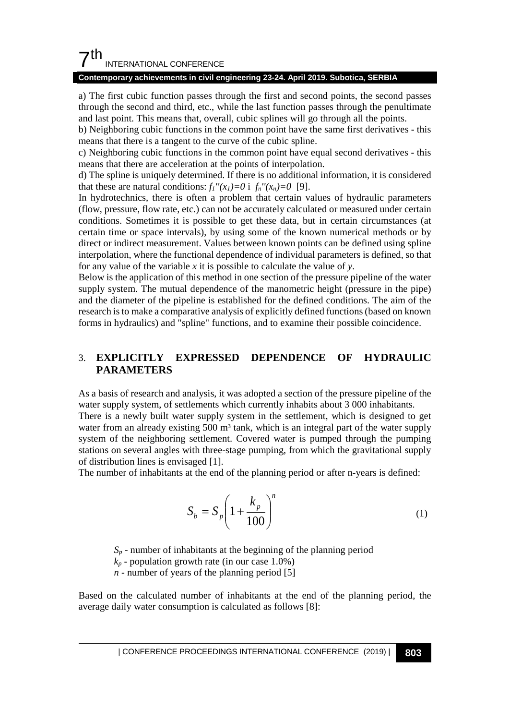#### $7<sup>th</sup>$ INTERNATIONAL CONFERENCE

#### **Contemporary achievements in civil engineering 23-24. April 2019. Subotica, SERBIA**

a) The first cubic function passes through the first and second points, the second passes through the second and third, etc., while the last function passes through the penultimate and last point. This means that, overall, cubic splines will go through all the points.

b) Neighboring cubic functions in the common point have the same first derivatives - this means that there is a tangent to the curve of the cubic spline.

c) Neighboring cubic functions in the common point have equal second derivatives - this means that there are acceleration at the points of interpolation.

d) The spline is uniquely determined. If there is no additional information, it is considered that these are natural conditions:  $f_1''(x_1)=0$  i  $f_n''(x_n)=0$  [9].

In hydrotechnics, there is often a problem that certain values of hydraulic parameters (flow, pressure, flow rate, etc.) can not be accurately calculated or measured under certain conditions. Sometimes it is possible to get these data, but in certain circumstances (at certain time or space intervals), by using some of the known numerical methods or by direct or indirect measurement. Values between known points can be defined using spline interpolation, where the functional dependence of individual parameters is defined, so that for any value of the variable *x* it is possible to calculate the value of *y*.

Below is the application of this method in one section of the pressure pipeline of the water supply system. The mutual dependence of the manometric height (pressure in the pipe) and the diameter of the pipeline is established for the defined conditions. The aim of the research is to make a comparative analysis of explicitly defined functions (based on known forms in hydraulics) and "spline" functions, and to examine their possible coincidence.

#### 3. **EXPLICITLY EXPRESSED DEPENDENCE OF HYDRAULIC PARAMETERS**

As a basis of research and analysis, it was adopted a section of the pressure pipeline of the water supply system, of settlements which currently inhabits about 3 000 inhabitants. There is a newly built water supply system in the settlement, which is designed to get water from an already existing  $500 \text{ m}^3$  tank, which is an integral part of the water supply system of the neighboring settlement. Covered water is pumped through the pumping stations on several angles with three-stage pumping, from which the gravitational supply of distribution lines is envisaged [1].

The number of inhabitants at the end of the planning period or after n-years is defined:

$$
S_b = S_p \left( 1 + \frac{k_p}{100} \right)^n \tag{1}
$$

 $S_p$  - number of inhabitants at the beginning of the planning period

 $k_p$  - population growth rate (in our case 1.0%)

*n* - number of years of the planning period [5]

Based on the calculated number of inhabitants at the end of the planning period, the average daily water consumption is calculated as follows [8]: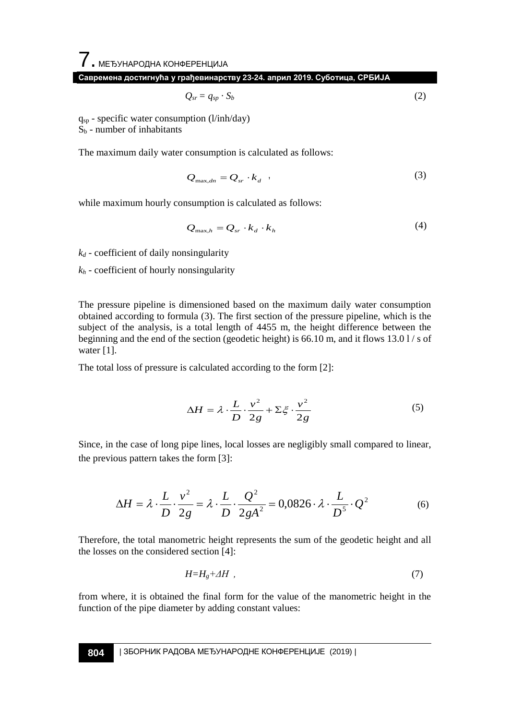$\overline{\phantom{a}}$ . МЕЂУНАРОДНА КОНФЕРЕНЦИЈА **Савремена достигнућа у грађевинарству 23-24. април 2019. Суботица, СРБИЈА**

$$
Q_{sr} = q_{sp} \cdot S_b \tag{2}
$$

 $q_{sp}$  - specific water consumption (l/inh/day)

 $S_b$  - number of inhabitants

The maximum daily water consumption is calculated as follows:

$$
Q_{\max,dn} = Q_{sr} \cdot k_d \tag{3}
$$

while maximum hourly consumption is calculated as follows:

$$
Q_{\max,h} = Q_{sr} \cdot k_d \cdot k_h \tag{4}
$$

*kd -* coefficient of daily nonsingularity

 $k_h$  - coefficient of hourly nonsingularity

The pressure pipeline is dimensioned based on the maximum daily water consumption obtained according to formula (3). The first section of the pressure pipeline, which is the subject of the analysis, is a total length of 4455 m, the height difference between the beginning and the end of the section (geodetic height) is 66.10 m, and it flows 13.0 l / s of water [1].

The total loss of pressure is calculated according to the form [2]:

$$
\Delta H = \lambda \cdot \frac{L}{D} \cdot \frac{v^2}{2g} + \Sigma \xi \cdot \frac{v^2}{2g}
$$
 (5)

Since, in the case of long pipe lines, local losses are negligibly small compared to linear, the previous pattern takes the form [3]:

$$
\Delta H = \lambda \cdot \frac{L}{D} \cdot \frac{v^2}{2g} = \lambda \cdot \frac{L}{D} \cdot \frac{Q^2}{2gA^2} = 0,0826 \cdot \lambda \cdot \frac{L}{D^5} \cdot Q^2 \tag{6}
$$

Therefore, the total manometric height represents the sum of the geodetic height and all the losses on the considered section [4]:

$$
H = H_g + \Delta H \tag{7}
$$

from where, it is obtained the final form for the value of the manometric height in the function of the pipe diameter by adding constant values: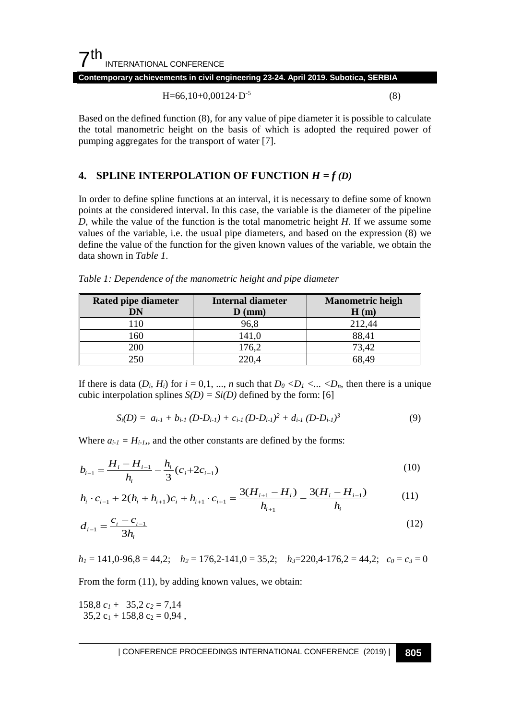#### $7<sup>th</sup>$ INTERNATIONAL CONFERENCE **Contemporary achievements in civil engineering 23-24. April 2019. Subotica, SERBIA**

$$
H=66,10+0,00124 \cdot D^{-5}
$$
 (8)

Based on the defined function (8), for any value of pipe diameter it is possible to calculate the total manometric height on the basis of which is adopted the required power of pumping aggregates for the transport of water [7].

#### **4. SPLINE INTERPOLATION OF FUNCTION**  $H = f(D)$

In order to define spline functions at an interval, it is necessary to define some of known points at the considered interval. In this case, the variable is the diameter of the pipeline *D*, while the value of the function is the total manometric height *H*. If we assume some values of the variable, i.e. the usual pipe diameters, and based on the expression (8) we define the value of the function for the given known values of the variable, we obtain the data shown in *Table 1*.

*Table 1: Dependence of the manometric height and pipe diameter*

| Rated pipe diameter<br>DN | Internal diameter<br>$\mathbf{D}$ (mm) | <b>Manometric heigh</b><br>H(m) |
|---------------------------|----------------------------------------|---------------------------------|
| 10                        | 96.8                                   | 212.44                          |
| . 60                      | 141.0                                  | 88,41                           |
| 200                       | 176,2                                  | 73.42                           |
| 250                       | 220.4                                  |                                 |

If there is data  $(D_i, H_i)$  for  $i = 0, 1, ..., n$  such that  $D_0 < D_1 < ... < D_n$ , then there is a unique cubic interpolation splines  $S(D) = Si(D)$  defined by the form: [6]

$$
S_i(D) = a_{i\text{-}1} + b_{i\text{-}1}(D-D_{i\text{-}1}) + c_{i\text{-}1}(D-D_{i\text{-}1})^2 + d_{i\text{-}1}(D-D_{i\text{-}1})^3
$$
\n(9)

Where  $a_{i-1} = H_{i-1}$ , and the other constants are defined by the forms:

$$
b_{i-1} = \frac{H_i - H_{i-1}}{h_i} - \frac{h_i}{3} (c_i + 2c_{i-1})
$$
\n(10)

$$
h_i \cdot c_{i-1} + 2(h_i + h_{i+1})c_i + h_{i+1} \cdot c_{i+1} = \frac{3(H_{i+1} - H_i)}{h_{i+1}} - \frac{3(H_i - H_{i-1})}{h_i}
$$
(11)

$$
d_{i-1} = \frac{c_i - c_{i-1}}{3h_i} \tag{12}
$$

 $h_1 = 141, 0.96, 8 = 44, 2;$   $h_2 = 176, 2.141, 0 = 35, 2;$   $h_3 = 220, 4.176, 2 = 44, 2;$   $c_0 = c_3 = 0$ 

From the form (11), by adding known values, we obtain:

158,8  $c_1$  + 35,2  $c_2$  = 7,14  $35,2$  c<sub>1</sub> + 158,8 c<sub>2</sub> = 0,94,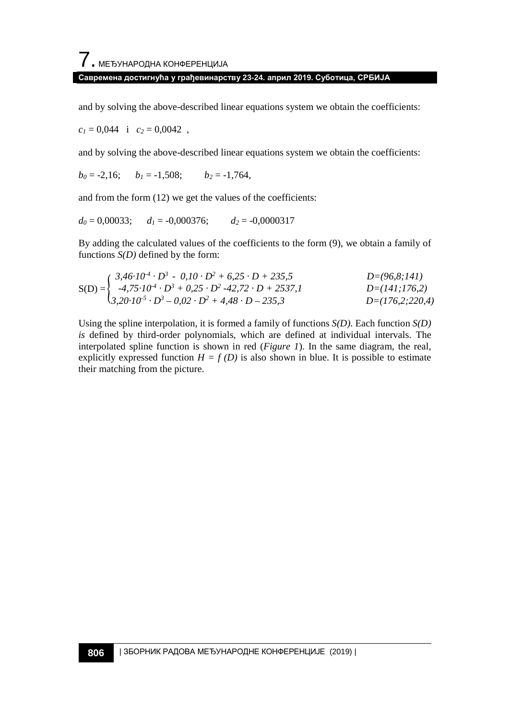#### **Савремена достигнућа у грађевинарству 23-24. април 2019. Суботица, СРБИЈА**

and by solving the above-described linear equations system we obtain the coefficients:

 $c_1 = 0.044$  i  $c_2 = 0.0042$ ,

and by solving the above-described linear equations system we obtain the coefficients:

 $b_0 = -2{,}16;$   $b_1 = -1{,}508;$   $b_2 = -1{,}764,$ 

and from the form (12) we get the values of the coefficients:

$$
d_0 = 0,00033;
$$
  $d_1 = -0,000376;$   $d_2 = -0,0000317$ 

By adding the calculated values of the coefficients to the form (9), we obtain a family of functions *S(D)* defined by the form:

$$
S(D) = \begin{cases} 3,46 \cdot 10^4 \cdot D^3 - 0,10 \cdot D^2 + 6,25 \cdot D + 235,5 & D = (96,8;141) \\ -4,75 \cdot 10^4 \cdot D^3 + 0,25 \cdot D^2 - 42,72 \cdot D + 2537,1 & D = (141;176,2) \\ 3,20 \cdot 10^5 \cdot D^3 - 0,02 \cdot D^2 + 4,48 \cdot D - 235,3 & D = (176,2;220,4) \end{cases}
$$

Using the spline interpolation, it is formed a family of functions *S(D)*. Each function *S(D) is* defined by third-order polynomials, which are defined at individual intervals. The interpolated spline function is shown in red (*Figure 1*). In the same diagram, the real, explicitly expressed function  $H = f(D)$  is also shown in blue. It is possible to estimate their matching from the picture.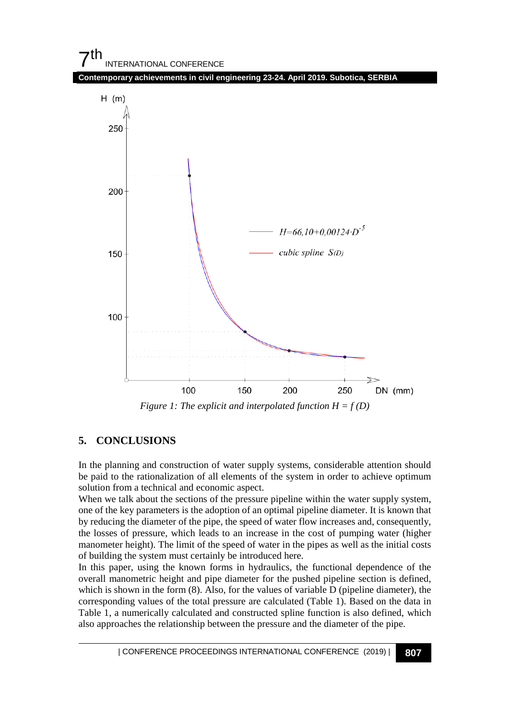

*Figure 1: The explicit and interpolated function*  $H = f(D)$ 

#### **5. CONCLUSIONS**

In the planning and construction of water supply systems, considerable attention should be paid to the rationalization of all elements of the system in order to achieve optimum solution from a technical and economic aspect.

When we talk about the sections of the pressure pipeline within the water supply system, one of the key parameters is the adoption of an optimal pipeline diameter. It is known that by reducing the diameter of the pipe, the speed of water flow increases and, consequently, the losses of pressure, which leads to an increase in the cost of pumping water (higher manometer height). The limit of the speed of water in the pipes as well as the initial costs of building the system must certainly be introduced here.

In this paper, using the known forms in hydraulics, the functional dependence of the overall manometric height and pipe diameter for the pushed pipeline section is defined, which is shown in the form  $(8)$ . Also, for the values of variable D (pipeline diameter), the corresponding values of the total pressure are calculated (Table 1). Based on the data in Table 1, a numerically calculated and constructed spline function is also defined, which also approaches the relationship between the pressure and the diameter of the pipe.